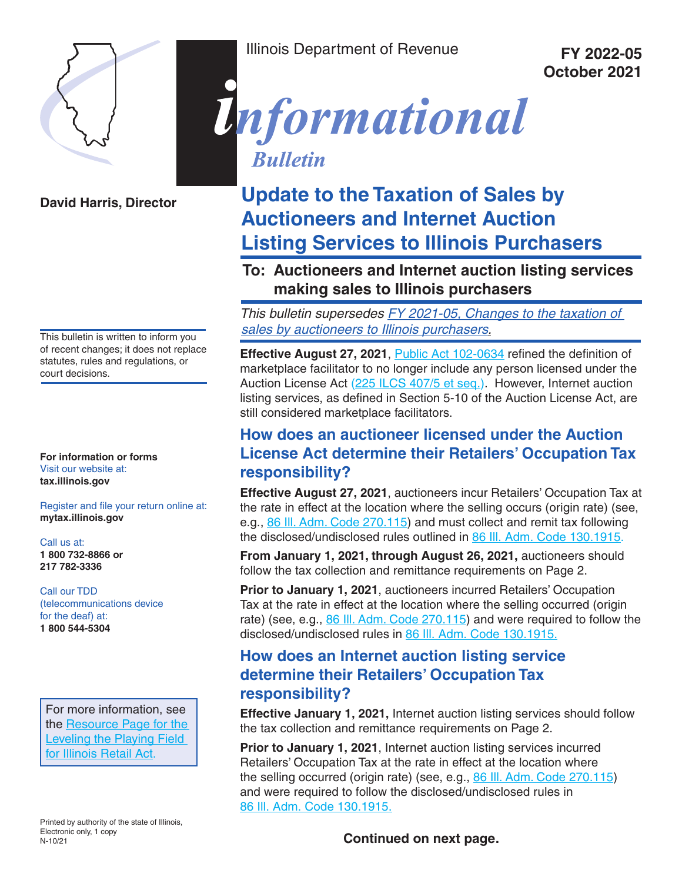

**David Harris, Director**

This bulletin is written to inform you of recent changes; it does not replace statutes, rules and regulations, or court decisions.

**For information or forms**  Visit our website at: **tax.illinois.gov**

Register and file your return online at: **mytax.illinois.gov**

Call us at: **1 800 732-8866 or 217 782-3336**

Call our TDD (telecommunications device for the deaf) at: **1 800 544-5304**

For more information, see the Resource Page for the Leveling the Playing Field for Illinois Retail Act.

Printed by authority of the state of Illinois, Electronic only, 1 copy N-10/21

Illinois Department of Revenue **FY 2022-05** 

**October 2021**



# **Update to the Taxation of Sales by Auctioneers and Internet Auction Listing Services to Illinois Purchasers**

# **To: Auctioneers and Internet auction listing services making sales to Illinois purchasers**

This bulletin supersedes FY 2021-05, Changes to the taxation of sales by auctioneers to Illinois purchasers.

**Effective August 27, 2021, Public Act 102-0634 refined the definition of** marketplace facilitator to no longer include any person licensed under the Auction License Act (225 ILCS 407/5 et seq.). However, Internet auction listing services, as defined in Section 5-10 of the Auction License Act, are still considered marketplace facilitators.

# **How does an auctioneer licensed under the Auction License Act determine their Retailers' Occupation Tax responsibility?**

**Effective August 27, 2021**, auctioneers incur Retailers' Occupation Tax at the rate in effect at the location where the selling occurs (origin rate) (see, e.g., 86 Ill. Adm. Code 270.115) and must collect and remit tax following the disclosed/undisclosed rules outlined in 86 Ill. Adm. Code 130.1915.

**From January 1, 2021, through August 26, 2021,** auctioneers should follow the tax collection and remittance requirements on Page 2.

**Prior to January 1, 2021**, auctioneers incurred Retailers' Occupation Tax at the rate in effect at the location where the selling occurred (origin rate) (see, e.g., 86 III. Adm. Code 270.115) and were required to follow the disclosed/undisclosed rules in 86 Ill. Adm. Code 130.1915.

# **How does an Internet auction listing service determine their Retailers' Occupation Tax responsibility?**

**Effective January 1, 2021,** Internet auction listing services should follow the tax collection and remittance requirements on Page 2.

**Prior to January 1, 2021**, Internet auction listing services incurred Retailers' Occupation Tax at the rate in effect at the location where the selling occurred (origin rate) (see, e.g., 86 Ill. Adm. Code 270.115) and were required to follow the disclosed/undisclosed rules in 86 Ill. Adm. Code 130.1915.

**Continued on next page.**